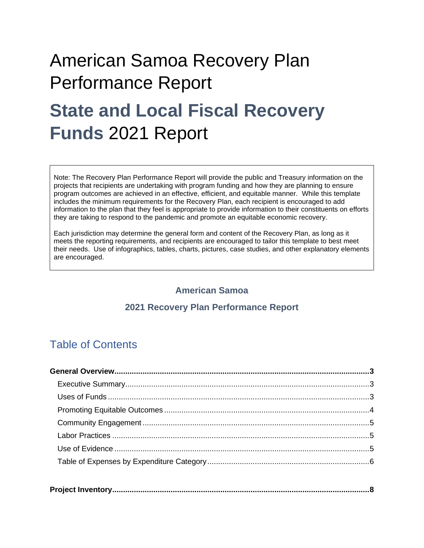# American Samoa Recovery Plan Performance Report **State and Local Fiscal Recovery Funds** 2021 Report

Note: The Recovery Plan Performance Report will provide the public and Treasury information on the projects that recipients are undertaking with program funding and how they are planning to ensure program outcomes are achieved in an effective, efficient, and equitable manner. While this template includes the minimum requirements for the Recovery Plan, each recipient is encouraged to add information to the plan that they feel is appropriate to provide information to their constituents on efforts they are taking to respond to the pandemic and promote an equitable economic recovery.

Each jurisdiction may determine the general form and content of the Recovery Plan, as long as it meets the reporting requirements, and recipients are encouraged to tailor this template to best meet their needs. Use of infographics, tables, charts, pictures, case studies, and other explanatory elements are encouraged.

### **American Samoa**

### **2021 Recovery Plan Performance Report**

# Table of Contents

|--|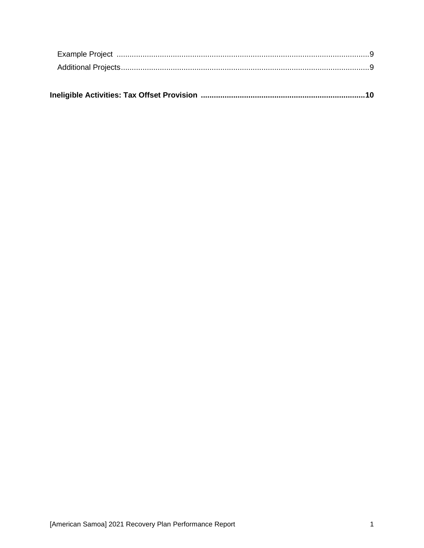|--|--|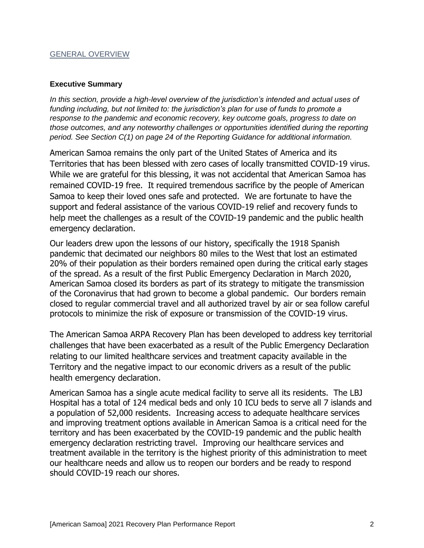#### GENERAL OVERVIEW

#### **Executive Summary**

*In this section, provide a high-level overview of the jurisdiction's intended and actual uses of funding including, but not limited to: the jurisdiction's plan for use of funds to promote a response to the pandemic and economic recovery, key outcome goals, progress to date on those outcomes, and any noteworthy challenges or opportunities identified during the reporting period. See Section C(1) on page 24 of the Reporting Guidance for additional information.* 

American Samoa remains the only part of the United States of America and its Territories that has been blessed with zero cases of locally transmitted COVID-19 virus. While we are grateful for this blessing, it was not accidental that American Samoa has remained COVID-19 free. It required tremendous sacrifice by the people of American Samoa to keep their loved ones safe and protected. We are fortunate to have the support and federal assistance of the various COVID-19 relief and recovery funds to help meet the challenges as a result of the COVID-19 pandemic and the public health emergency declaration.

Our leaders drew upon the lessons of our history, specifically the 1918 Spanish pandemic that decimated our neighbors 80 miles to the West that lost an estimated 20% of their population as their borders remained open during the critical early stages of the spread. As a result of the first Public Emergency Declaration in March 2020, American Samoa closed its borders as part of its strategy to mitigate the transmission of the Coronavirus that had grown to become a global pandemic. Our borders remain closed to regular commercial travel and all authorized travel by air or sea follow careful protocols to minimize the risk of exposure or transmission of the COVID-19 virus.

The American Samoa ARPA Recovery Plan has been developed to address key territorial challenges that have been exacerbated as a result of the Public Emergency Declaration relating to our limited healthcare services and treatment capacity available in the Territory and the negative impact to our economic drivers as a result of the public health emergency declaration.

American Samoa has a single acute medical facility to serve all its residents. The LBJ Hospital has a total of 124 medical beds and only 10 ICU beds to serve all 7 islands and a population of 52,000 residents. Increasing access to adequate healthcare services and improving treatment options available in American Samoa is a critical need for the territory and has been exacerbated by the COVID-19 pandemic and the public health emergency declaration restricting travel. Improving our healthcare services and treatment available in the territory is the highest priority of this administration to meet our healthcare needs and allow us to reopen our borders and be ready to respond should COVID-19 reach our shores.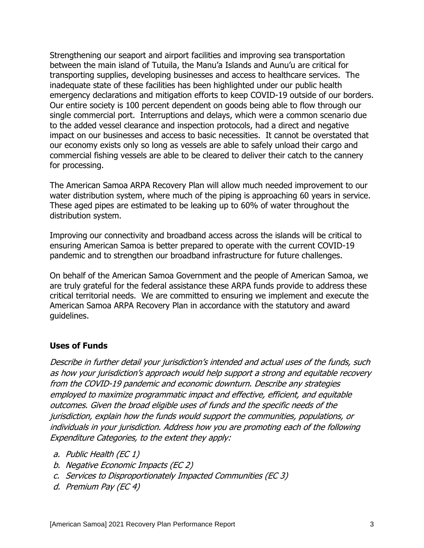Strengthening our seaport and airport facilities and improving sea transportation between the main island of Tutuila, the Manu'a Islands and Aunu'u are critical for transporting supplies, developing businesses and access to healthcare services. The inadequate state of these facilities has been highlighted under our public health emergency declarations and mitigation efforts to keep COVID-19 outside of our borders. Our entire society is 100 percent dependent on goods being able to flow through our single commercial port. Interruptions and delays, which were a common scenario due to the added vessel clearance and inspection protocols, had a direct and negative impact on our businesses and access to basic necessities. It cannot be overstated that our economy exists only so long as vessels are able to safely unload their cargo and commercial fishing vessels are able to be cleared to deliver their catch to the cannery for processing.

The American Samoa ARPA Recovery Plan will allow much needed improvement to our water distribution system, where much of the piping is approaching 60 years in service. These aged pipes are estimated to be leaking up to 60% of water throughout the distribution system.

Improving our connectivity and broadband access across the islands will be critical to ensuring American Samoa is better prepared to operate with the current COVID-19 pandemic and to strengthen our broadband infrastructure for future challenges.

On behalf of the American Samoa Government and the people of American Samoa, we are truly grateful for the federal assistance these ARPA funds provide to address these critical territorial needs. We are committed to ensuring we implement and execute the American Samoa ARPA Recovery Plan in accordance with the statutory and award guidelines.

### **Uses of Funds**

Describe in further detail your jurisdiction's intended and actual uses of the funds, such as how your jurisdiction's approach would help support a strong and equitable recovery from the COVID-19 pandemic and economic downturn. Describe any strategies employed to maximize programmatic impact and effective, efficient, and equitable outcomes. Given the broad eligible uses of funds and the specific needs of the jurisdiction, explain how the funds would support the communities, populations, or individuals in your jurisdiction. Address how you are promoting each of the following Expenditure Categories, to the extent they apply:

- a. Public Health (EC 1)
- b. Negative Economic Impacts (EC 2)
- c. Services to Disproportionately Impacted Communities (EC 3)
- d. Premium Pay (EC 4)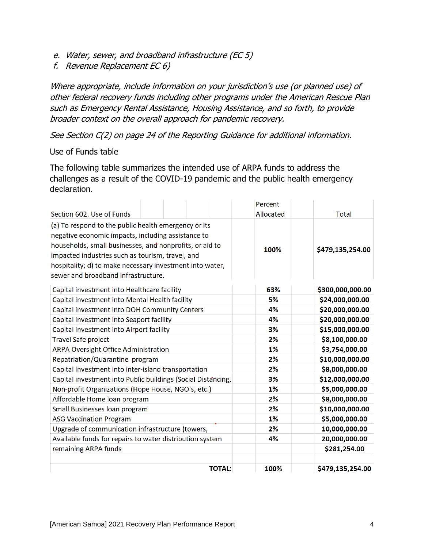- e. Water, sewer, and broadband infrastructure (EC 5)
- f. Revenue Replacement EC 6)

Where appropriate, include information on your jurisdiction's use (or planned use) of other federal recovery funds including other programs under the American Rescue Plan such as Emergency Rental Assistance, Housing Assistance, and so forth, to provide broader context on the overall approach for pandemic recovery.

See Section C(2) on page 24 of the Reporting Guidance for additional information.

#### Use of Funds table

The following table summarizes the intended use of ARPA funds to address the challenges as a result of the COVID-19 pandemic and the public health emergency declaration.

| Section 602. Use of Funds                                    | Percent<br>Allocated | <b>Total</b>     |
|--------------------------------------------------------------|----------------------|------------------|
| (a) To respond to the public health emergency or its         |                      |                  |
| negative economic impacts, including assistance to           |                      |                  |
| households, small businesses, and nonprofits, or aid to      |                      |                  |
| impacted industries such as tourism, travel, and             | 100%                 | \$479,135,254.00 |
| hospitality; d) to make necessary investment into water,     |                      |                  |
| sewer and broadband infrastructure.                          |                      |                  |
|                                                              |                      |                  |
| Capital investment into Healthcare facility                  | 63%                  | \$300,000,000.00 |
| Capital investment into Mental Health facility               | 5%                   | \$24,000,000.00  |
| Capital investment into DOH Community Centers                | 4%                   | \$20,000,000.00  |
| Capital investment into Seaport facility                     | 4%                   | \$20,000,000.00  |
| Capital investment into Airport facility                     | 3%                   | \$15,000,000.00  |
| <b>Travel Safe project</b>                                   | 2%                   | \$8,100,000.00   |
| <b>ARPA Oversight Office Administration</b>                  | 1%                   | \$3,754,000.00   |
| Repatriation/Quarantine program                              | 2%                   | \$10,000,000.00  |
| Capital investment into inter-island transportation          | 2%                   | \$8,000,000.00   |
| Capital investment into Public buildings (Social Distancing, | 3%                   | \$12,000,000.00  |
| Non-profit Organizations (Hope House, NGO's, etc.)           | 1%                   | \$5,000,000.00   |
| Affordable Home loan program                                 | 2%                   | \$8,000,000.00   |
| Small Businesses loan program                                | 2%                   | \$10,000,000.00  |
| <b>ASG Vaccination Program</b>                               | 1%                   | \$5,000,000.00   |
| Upgrade of communication infrastructure (towers,             | 2%                   | 10,000,000.00    |
| Available funds for repairs to water distribution system     | 4%                   | 20,000,000.00    |
| remaining ARPA funds                                         |                      | \$281,254.00     |
|                                                              |                      |                  |
| <b>TOTAL:</b>                                                | 100%                 | \$479,135,254.00 |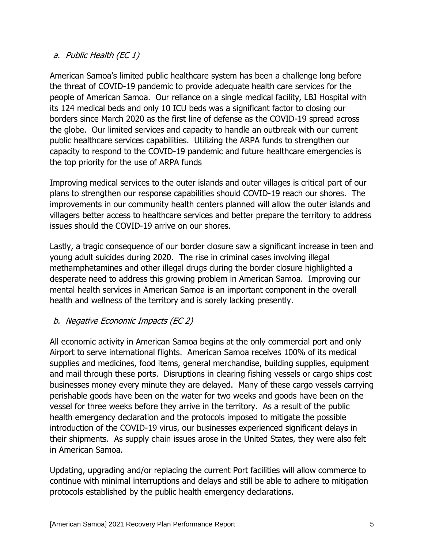## a. Public Health (EC 1)

American Samoa's limited public healthcare system has been a challenge long before the threat of COVID-19 pandemic to provide adequate health care services for the people of American Samoa. Our reliance on a single medical facility, LBJ Hospital with its 124 medical beds and only 10 ICU beds was a significant factor to closing our borders since March 2020 as the first line of defense as the COVID-19 spread across the globe. Our limited services and capacity to handle an outbreak with our current public healthcare services capabilities. Utilizing the ARPA funds to strengthen our capacity to respond to the COVID-19 pandemic and future healthcare emergencies is the top priority for the use of ARPA funds

Improving medical services to the outer islands and outer villages is critical part of our plans to strengthen our response capabilities should COVID-19 reach our shores. The improvements in our community health centers planned will allow the outer islands and villagers better access to healthcare services and better prepare the territory to address issues should the COVID-19 arrive on our shores.

Lastly, a tragic consequence of our border closure saw a significant increase in teen and young adult suicides during 2020. The rise in criminal cases involving illegal methamphetamines and other illegal drugs during the border closure highlighted a desperate need to address this growing problem in American Samoa. Improving our mental health services in American Samoa is an important component in the overall health and wellness of the territory and is sorely lacking presently.

## b. Negative Economic Impacts (EC 2)

All economic activity in American Samoa begins at the only commercial port and only Airport to serve international flights. American Samoa receives 100% of its medical supplies and medicines, food items, general merchandise, building supplies, equipment and mail through these ports. Disruptions in clearing fishing vessels or cargo ships cost businesses money every minute they are delayed. Many of these cargo vessels carrying perishable goods have been on the water for two weeks and goods have been on the vessel for three weeks before they arrive in the territory. As a result of the public health emergency declaration and the protocols imposed to mitigate the possible introduction of the COVID-19 virus, our businesses experienced significant delays in their shipments. As supply chain issues arose in the United States, they were also felt in American Samoa.

Updating, upgrading and/or replacing the current Port facilities will allow commerce to continue with minimal interruptions and delays and still be able to adhere to mitigation protocols established by the public health emergency declarations.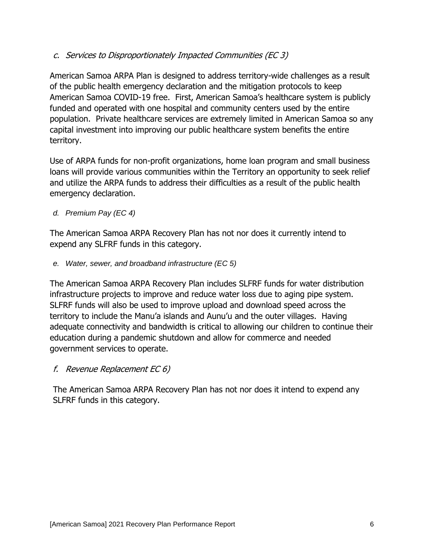c. Services to Disproportionately Impacted Communities (EC 3)

American Samoa ARPA Plan is designed to address territory-wide challenges as a result of the public health emergency declaration and the mitigation protocols to keep American Samoa COVID-19 free. First, American Samoa's healthcare system is publicly funded and operated with one hospital and community centers used by the entire population. Private healthcare services are extremely limited in American Samoa so any capital investment into improving our public healthcare system benefits the entire territory.

Use of ARPA funds for non-profit organizations, home loan program and small business loans will provide various communities within the Territory an opportunity to seek relief and utilize the ARPA funds to address their difficulties as a result of the public health emergency declaration.

*d. Premium Pay (EC 4)*

The American Samoa ARPA Recovery Plan has not nor does it currently intend to expend any SLFRF funds in this category.

*e. Water, sewer, and broadband infrastructure (EC 5)*

The American Samoa ARPA Recovery Plan includes SLFRF funds for water distribution infrastructure projects to improve and reduce water loss due to aging pipe system. SLFRF funds will also be used to improve upload and download speed across the territory to include the Manu'a islands and Aunu'u and the outer villages. Having adequate connectivity and bandwidth is critical to allowing our children to continue their education during a pandemic shutdown and allow for commerce and needed government services to operate.

f. Revenue Replacement EC 6)

The American Samoa ARPA Recovery Plan has not nor does it intend to expend any SLFRF funds in this category.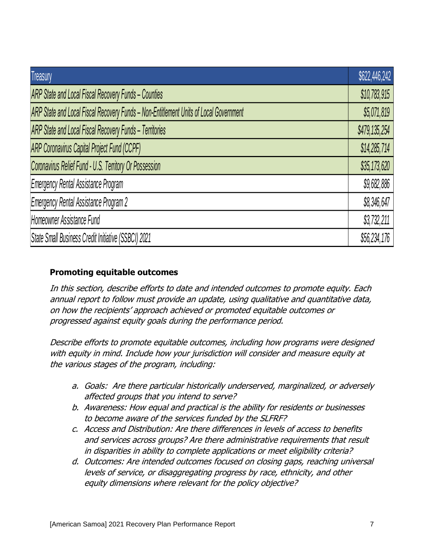| Treasury                                                                              | \$622,446,242 |
|---------------------------------------------------------------------------------------|---------------|
| <b>ARP State and Local Fiscal Recovery Funds - Counties</b>                           | \$10,783,915  |
| ARP State and Local Fiscal Recovery Funds - Non-Entitlement Units of Local Government | \$5,071,819   |
| ARP State and Local Fiscal Recovery Funds - Territories                               | \$479,135,254 |
| <b>ARP Coronavirus Capital Project Fund (CCPF)</b>                                    | \$14,285,714  |
| Coronavirus Relief Fund - U.S. Territory Or Possession                                | \$35,173,620  |
| <b>Emergency Rental Assistance Program</b>                                            | \$9,682,886   |
| <b>Emergency Rental Assistance Program 2</b>                                          | \$8,346,647   |
| Homeowner Assistance Fund                                                             | \$3,732,211   |
| State Small Business Credit Initiative (SSBCI) 2021                                   | \$56,234,176  |

## **Promoting equitable outcomes**

In this section, describe efforts to date and intended outcomes to promote equity. Each annual report to follow must provide an update, using qualitative and quantitative data, on how the recipients' approach achieved or promoted equitable outcomes or progressed against equity goals during the performance period.

Describe efforts to promote equitable outcomes, including how programs were designed with equity in mind. Include how your jurisdiction will consider and measure equity at the various stages of the program, including:

- a. Goals: Are there particular historically underserved, marginalized, or adversely affected groups that you intend to serve?
- b. Awareness: How equal and practical is the ability for residents or businesses to become aware of the services funded by the SLFRF?
- c. Access and Distribution: Are there differences in levels of access to benefits and services across groups? Are there administrative requirements that result in disparities in ability to complete applications or meet eligibility criteria?
- d. Outcomes: Are intended outcomes focused on closing gaps, reaching universal levels of service, or disaggregating progress by race, ethnicity, and other equity dimensions where relevant for the policy objective?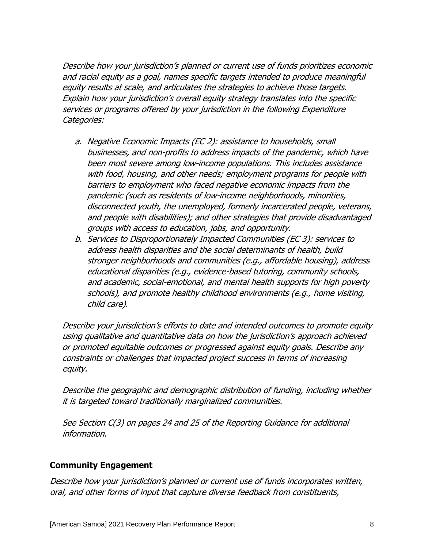Describe how your jurisdiction's planned or current use of funds prioritizes economic and racial equity as a goal, names specific targets intended to produce meaningful equity results at scale, and articulates the strategies to achieve those targets. Explain how your jurisdiction's overall equity strategy translates into the specific services or programs offered by your jurisdiction in the following Expenditure Categories:

- a. Negative Economic Impacts (EC 2): assistance to households, small businesses, and non-profits to address impacts of the pandemic, which have been most severe among low-income populations. This includes assistance with food, housing, and other needs; employment programs for people with barriers to employment who faced negative economic impacts from the pandemic (such as residents of low-income neighborhoods, minorities, disconnected youth, the unemployed, formerly incarcerated people, veterans, and people with disabilities); and other strategies that provide disadvantaged groups with access to education, jobs, and opportunity.
- b. Services to Disproportionately Impacted Communities (EC 3): services to address health disparities and the social determinants of health, build stronger neighborhoods and communities (e.g., affordable housing), address educational disparities (e.g., evidence-based tutoring, community schools, and academic, social-emotional, and mental health supports for high poverty schools), and promote healthy childhood environments (e.g., home visiting, child care).

Describe your jurisdiction's efforts to date and intended outcomes to promote equity using qualitative and quantitative data on how the jurisdiction's approach achieved or promoted equitable outcomes or progressed against equity goals. Describe any constraints or challenges that impacted project success in terms of increasing equity.

Describe the geographic and demographic distribution of funding, including whether it is targeted toward traditionally marginalized communities.

See Section C(3) on pages 24 and 25 of the Reporting Guidance for additional information.

## **Community Engagement**

Describe how your jurisdiction's planned or current use of funds incorporates written, oral, and other forms of input that capture diverse feedback from constituents,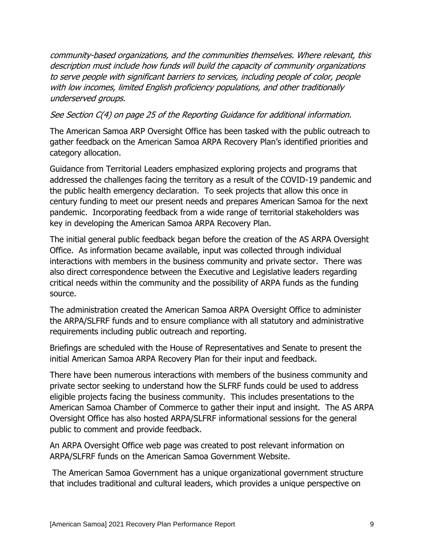community-based organizations, and the communities themselves. Where relevant, this description must include how funds will build the capacity of community organizations to serve people with significant barriers to services, including people of color, people with low incomes, limited English proficiency populations, and other traditionally underserved groups.

## See Section C(4) on page 25 of the Reporting Guidance for additional information.

The American Samoa ARP Oversight Office has been tasked with the public outreach to gather feedback on the American Samoa ARPA Recovery Plan's identified priorities and category allocation.

Guidance from Territorial Leaders emphasized exploring projects and programs that addressed the challenges facing the territory as a result of the COVID-19 pandemic and the public health emergency declaration. To seek projects that allow this once in century funding to meet our present needs and prepares American Samoa for the next pandemic. Incorporating feedback from a wide range of territorial stakeholders was key in developing the American Samoa ARPA Recovery Plan.

The initial general public feedback began before the creation of the AS ARPA Oversight Office. As information became available, input was collected through individual interactions with members in the business community and private sector. There was also direct correspondence between the Executive and Legislative leaders regarding critical needs within the community and the possibility of ARPA funds as the funding source.

The administration created the American Samoa ARPA Oversight Office to administer the ARPA/SLFRF funds and to ensure compliance with all statutory and administrative requirements including public outreach and reporting.

Briefings are scheduled with the House of Representatives and Senate to present the initial American Samoa ARPA Recovery Plan for their input and feedback.

There have been numerous interactions with members of the business community and private sector seeking to understand how the SLFRF funds could be used to address eligible projects facing the business community. This includes presentations to the American Samoa Chamber of Commerce to gather their input and insight. The AS ARPA Oversight Office has also hosted ARPA/SLFRF informational sessions for the general public to comment and provide feedback.

An ARPA Oversight Office web page was created to post relevant information on ARPA/SLFRF funds on the American Samoa Government Website.

The American Samoa Government has a unique organizational government structure that includes traditional and cultural leaders, which provides a unique perspective on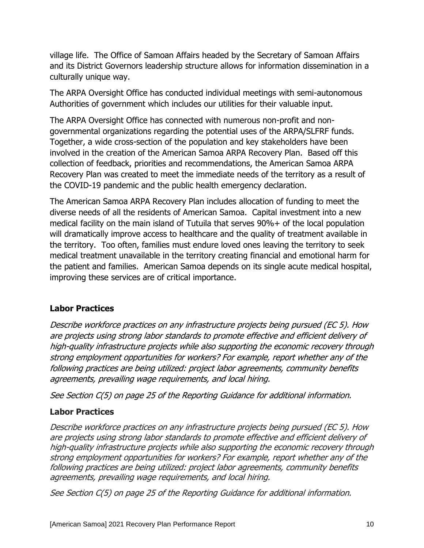village life. The Office of Samoan Affairs headed by the Secretary of Samoan Affairs and its District Governors leadership structure allows for information dissemination in a culturally unique way.

The ARPA Oversight Office has conducted individual meetings with semi-autonomous Authorities of government which includes our utilities for their valuable input.

The ARPA Oversight Office has connected with numerous non-profit and nongovernmental organizations regarding the potential uses of the ARPA/SLFRF funds. Together, a wide cross-section of the population and key stakeholders have been involved in the creation of the American Samoa ARPA Recovery Plan. Based off this collection of feedback, priorities and recommendations, the American Samoa ARPA Recovery Plan was created to meet the immediate needs of the territory as a result of the COVID-19 pandemic and the public health emergency declaration.

The American Samoa ARPA Recovery Plan includes allocation of funding to meet the diverse needs of all the residents of American Samoa. Capital investment into a new medical facility on the main island of Tutuila that serves 90%+ of the local population will dramatically improve access to healthcare and the quality of treatment available in the territory. Too often, families must endure loved ones leaving the territory to seek medical treatment unavailable in the territory creating financial and emotional harm for the patient and families. American Samoa depends on its single acute medical hospital, improving these services are of critical importance.

## **Labor Practices**

Describe workforce practices on any infrastructure projects being pursued (EC 5). How are projects using strong labor standards to promote effective and efficient delivery of high-quality infrastructure projects while also supporting the economic recovery through strong employment opportunities for workers? For example, report whether any of the following practices are being utilized: project labor agreements, community benefits agreements, prevailing wage requirements, and local hiring.

See Section C(5) on page 25 of the Reporting Guidance for additional information.

## **Labor Practices**

Describe workforce practices on any infrastructure projects being pursued (EC 5). How are projects using strong labor standards to promote effective and efficient delivery of high-quality infrastructure projects while also supporting the economic recovery through strong employment opportunities for workers? For example, report whether any of the following practices are being utilized: project labor agreements, community benefits agreements, prevailing wage requirements, and local hiring.

See Section C(5) on page 25 of the Reporting Guidance for additional information.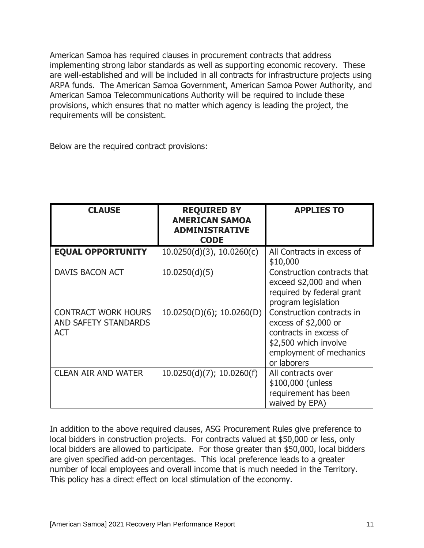American Samoa has required clauses in procurement contracts that address implementing strong labor standards as well as supporting economic recovery. These are well-established and will be included in all contracts for infrastructure projects using ARPA funds. The American Samoa Government, American Samoa Power Authority, and American Samoa Telecommunications Authority will be required to include these provisions, which ensures that no matter which agency is leading the project, the requirements will be consistent.

Below are the required contract provisions:

| <b>CLAUSE</b>                                                    | <b>REQUIRED BY</b><br><b>AMERICAN SAMOA</b><br><b>ADMINISTRATIVE</b><br><b>CODE</b> | <b>APPLIES TO</b>                                                                                                                               |
|------------------------------------------------------------------|-------------------------------------------------------------------------------------|-------------------------------------------------------------------------------------------------------------------------------------------------|
| <b>EQUAL OPPORTUNITY</b>                                         | $10.0250(d)(3)$ , $10.0260(c)$                                                      | All Contracts in excess of<br>\$10,000                                                                                                          |
| DAVIS BACON ACT                                                  | 10.0250(d)(5)                                                                       | Construction contracts that<br>exceed \$2,000 and when<br>required by federal grant<br>program legislation                                      |
| <b>CONTRACT WORK HOURS</b><br>AND SAFETY STANDARDS<br><b>ACT</b> | 10.0250(D)(6); 10.0260(D)                                                           | Construction contracts in<br>excess of $$2,000$ or<br>contracts in excess of<br>\$2,500 which involve<br>employment of mechanics<br>or laborers |
| <b>CLEAN AIR AND WATER</b>                                       | $10.0250(d)(7)$ ; 10.0260(f)                                                        | All contracts over<br>\$100,000 (unless<br>requirement has been<br>waived by EPA)                                                               |

In addition to the above required clauses, ASG Procurement Rules give preference to local bidders in construction projects. For contracts valued at \$50,000 or less, only local bidders are allowed to participate. For those greater than \$50,000, local bidders are given specified add-on percentages. This local preference leads to a greater number of local employees and overall income that is much needed in the Territory. This policy has a direct effect on local stimulation of the economy.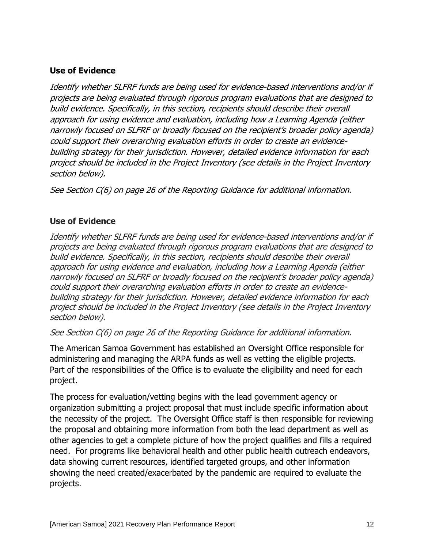## **Use of Evidence**

Identify whether SLFRF funds are being used for evidence-based interventions and/or if projects are being evaluated through rigorous program evaluations that are designed to build evidence. Specifically, in this section, recipients should describe their overall approach for using evidence and evaluation, including how a Learning Agenda (either narrowly focused on SLFRF or broadly focused on the recipient's broader policy agenda) could support their overarching evaluation efforts in order to create an evidencebuilding strategy for their jurisdiction. However, detailed evidence information for each project should be included in the Project Inventory (see details in the Project Inventory section below).

See Section C(6) on page 26 of the Reporting Guidance for additional information.

## **Use of Evidence**

Identify whether SLFRF funds are being used for evidence-based interventions and/or if projects are being evaluated through rigorous program evaluations that are designed to build evidence. Specifically, in this section, recipients should describe their overall approach for using evidence and evaluation, including how a Learning Agenda (either narrowly focused on SLFRF or broadly focused on the recipient's broader policy agenda) could support their overarching evaluation efforts in order to create an evidencebuilding strategy for their jurisdiction. However, detailed evidence information for each project should be included in the Project Inventory (see details in the Project Inventory section below).

See Section C(6) on page 26 of the Reporting Guidance for additional information.

The American Samoa Government has established an Oversight Office responsible for administering and managing the ARPA funds as well as vetting the eligible projects. Part of the responsibilities of the Office is to evaluate the eligibility and need for each project.

The process for evaluation/vetting begins with the lead government agency or organization submitting a project proposal that must include specific information about the necessity of the project. The Oversight Office staff is then responsible for reviewing the proposal and obtaining more information from both the lead department as well as other agencies to get a complete picture of how the project qualifies and fills a required need. For programs like behavioral health and other public health outreach endeavors, data showing current resources, identified targeted groups, and other information showing the need created/exacerbated by the pandemic are required to evaluate the projects.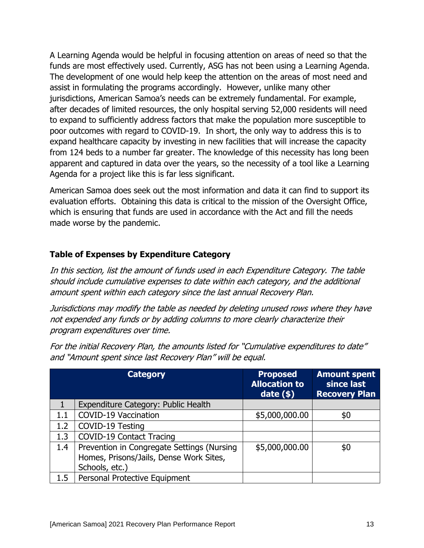A Learning Agenda would be helpful in focusing attention on areas of need so that the funds are most effectively used. Currently, ASG has not been using a Learning Agenda. The development of one would help keep the attention on the areas of most need and assist in formulating the programs accordingly. However, unlike many other jurisdictions, American Samoa's needs can be extremely fundamental. For example, after decades of limited resources, the only hospital serving 52,000 residents will need to expand to sufficiently address factors that make the population more susceptible to poor outcomes with regard to COVID-19. In short, the only way to address this is to expand healthcare capacity by investing in new facilities that will increase the capacity from 124 beds to a number far greater. The knowledge of this necessity has long been apparent and captured in data over the years, so the necessity of a tool like a Learning Agenda for a project like this is far less significant.

American Samoa does seek out the most information and data it can find to support its evaluation efforts. Obtaining this data is critical to the mission of the Oversight Office, which is ensuring that funds are used in accordance with the Act and fill the needs made worse by the pandemic.

## **Table of Expenses by Expenditure Category**

In this section, list the amount of funds used in each Expenditure Category. The table should include cumulative expenses to date within each category, and the additional amount spent within each category since the last annual Recovery Plan.

Jurisdictions may modify the table as needed by deleting unused rows where they have not expended any funds or by adding columns to more clearly characterize their program expenditures over time.

For the initial Recovery Plan, the amounts listed for "Cumulative expenditures to date" and "Amount spent since last Recovery Plan" will be equal.

|         | <b>Category</b>                                                                                         | <b>Proposed</b><br><b>Allocation to</b><br>$date($ \$) | <b>Amount spent</b><br>since last<br><b>Recovery Plan</b> |
|---------|---------------------------------------------------------------------------------------------------------|--------------------------------------------------------|-----------------------------------------------------------|
|         | Expenditure Category: Public Health                                                                     |                                                        |                                                           |
| $1.1\,$ | <b>COVID-19 Vaccination</b>                                                                             | \$5,000,000.00                                         | \$0                                                       |
| 1.2     | COVID-19 Testing                                                                                        |                                                        |                                                           |
| 1.3     | <b>COVID-19 Contact Tracing</b>                                                                         |                                                        |                                                           |
| 1.4     | Prevention in Congregate Settings (Nursing<br>Homes, Prisons/Jails, Dense Work Sites,<br>Schools, etc.) | \$5,000,000.00                                         | \$0                                                       |
| 1.5     | Personal Protective Equipment                                                                           |                                                        |                                                           |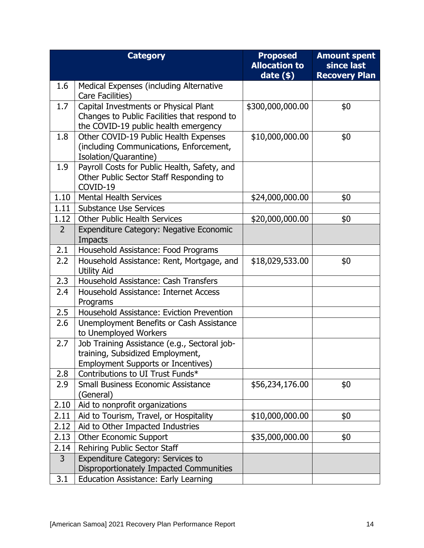|                | <b>Category</b>                                                                         | <b>Proposed</b><br><b>Allocation to</b> | <b>Amount spent</b><br>since last |
|----------------|-----------------------------------------------------------------------------------------|-----------------------------------------|-----------------------------------|
|                |                                                                                         | date $(*)$                              | <b>Recovery Plan</b>              |
| 1.6            | <b>Medical Expenses (including Alternative</b>                                          |                                         |                                   |
|                | Care Facilities)                                                                        |                                         |                                   |
| 1.7            | Capital Investments or Physical Plant                                                   | \$300,000,000.00                        | \$0                               |
|                | Changes to Public Facilities that respond to                                            |                                         |                                   |
|                | the COVID-19 public health emergency                                                    |                                         |                                   |
| 1.8            | Other COVID-19 Public Health Expenses                                                   | \$10,000,000.00                         | \$0                               |
|                | (including Communications, Enforcement,                                                 |                                         |                                   |
| 1.9            | Isolation/Quarantine)                                                                   |                                         |                                   |
|                | Payroll Costs for Public Health, Safety, and<br>Other Public Sector Staff Responding to |                                         |                                   |
|                | COVID-19                                                                                |                                         |                                   |
| 1.10           | <b>Mental Health Services</b>                                                           | \$24,000,000.00                         | \$0                               |
| 1.11           | <b>Substance Use Services</b>                                                           |                                         |                                   |
| 1.12           | <b>Other Public Health Services</b>                                                     | \$20,000,000.00                         | \$0                               |
| $\overline{2}$ | <b>Expenditure Category: Negative Economic</b>                                          |                                         |                                   |
|                | Impacts                                                                                 |                                         |                                   |
| 2.1            | Household Assistance: Food Programs                                                     |                                         |                                   |
| 2.2            | Household Assistance: Rent, Mortgage, and                                               | \$18,029,533.00                         | \$0                               |
|                | <b>Utility Aid</b>                                                                      |                                         |                                   |
| 2.3            | Household Assistance: Cash Transfers                                                    |                                         |                                   |
| 2.4            | Household Assistance: Internet Access                                                   |                                         |                                   |
|                | Programs                                                                                |                                         |                                   |
| 2.5            | Household Assistance: Eviction Prevention                                               |                                         |                                   |
| 2.6            | Unemployment Benefits or Cash Assistance                                                |                                         |                                   |
| 2.7            | to Unemployed Workers                                                                   |                                         |                                   |
|                | Job Training Assistance (e.g., Sectoral job-<br>training, Subsidized Employment,        |                                         |                                   |
|                | <b>Employment Supports or Incentives)</b>                                               |                                         |                                   |
| 2.8            | Contributions to UI Trust Funds*                                                        |                                         |                                   |
| 2.9            | <b>Small Business Economic Assistance</b>                                               | \$56,234,176.00                         | \$0                               |
|                | (General)                                                                               |                                         |                                   |
| 2.10           | Aid to nonprofit organizations                                                          |                                         |                                   |
| 2.11           | Aid to Tourism, Travel, or Hospitality                                                  | \$10,000,000.00                         | \$0                               |
| 2.12           | Aid to Other Impacted Industries                                                        |                                         |                                   |
| 2.13           | <b>Other Economic Support</b>                                                           | \$35,000,000.00                         | \$0                               |
| 2.14           | Rehiring Public Sector Staff                                                            |                                         |                                   |
| $\overline{3}$ | Expenditure Category: Services to                                                       |                                         |                                   |
|                | Disproportionately Impacted Communities                                                 |                                         |                                   |
| 3.1            | <b>Education Assistance: Early Learning</b>                                             |                                         |                                   |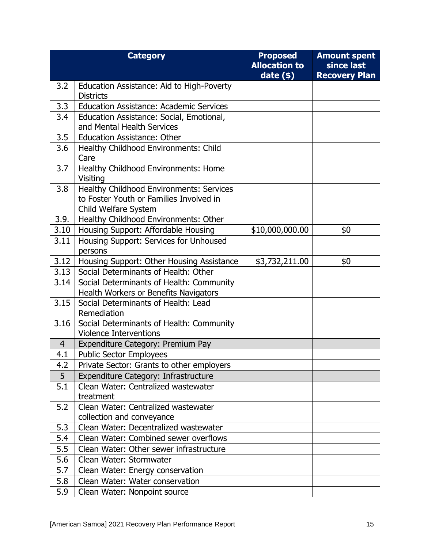|                | <b>Category</b>                                                                                             | <b>Proposed</b><br><b>Allocation to</b><br>date $(*)$ | <b>Amount spent</b><br>since last<br><b>Recovery Plan</b> |
|----------------|-------------------------------------------------------------------------------------------------------------|-------------------------------------------------------|-----------------------------------------------------------|
| 3.2            | Education Assistance: Aid to High-Poverty<br><b>Districts</b>                                               |                                                       |                                                           |
| 3.3            | <b>Education Assistance: Academic Services</b>                                                              |                                                       |                                                           |
| 3.4            | Education Assistance: Social, Emotional,<br>and Mental Health Services                                      |                                                       |                                                           |
| 3.5            | <b>Education Assistance: Other</b>                                                                          |                                                       |                                                           |
| 3.6            | Healthy Childhood Environments: Child<br>Care                                                               |                                                       |                                                           |
| 3.7            | Healthy Childhood Environments: Home<br><b>Visiting</b>                                                     |                                                       |                                                           |
| 3.8            | Healthy Childhood Environments: Services<br>to Foster Youth or Families Involved in<br>Child Welfare System |                                                       |                                                           |
| 3.9.           | Healthy Childhood Environments: Other                                                                       |                                                       |                                                           |
| 3.10           | Housing Support: Affordable Housing                                                                         | \$10,000,000.00                                       | \$0                                                       |
| 3.11           | Housing Support: Services for Unhoused<br>persons                                                           |                                                       |                                                           |
| 3.12           | Housing Support: Other Housing Assistance                                                                   | \$3,732,211.00                                        | \$0                                                       |
| 3.13           | Social Determinants of Health: Other                                                                        |                                                       |                                                           |
| 3.14           | Social Determinants of Health: Community<br>Health Workers or Benefits Navigators                           |                                                       |                                                           |
| 3.15           | Social Determinants of Health: Lead<br>Remediation                                                          |                                                       |                                                           |
| 3.16           | Social Determinants of Health: Community<br><b>Violence Interventions</b>                                   |                                                       |                                                           |
| $\overline{4}$ | Expenditure Category: Premium Pay                                                                           |                                                       |                                                           |
| 4.1            | <b>Public Sector Employees</b>                                                                              |                                                       |                                                           |
| 4.2            | Private Sector: Grants to other employers                                                                   |                                                       |                                                           |
| 5 <sup>1</sup> | Expenditure Category: Infrastructure                                                                        |                                                       |                                                           |
| 5.1            | Clean Water: Centralized wastewater<br>treatment                                                            |                                                       |                                                           |
| 5.2            | Clean Water: Centralized wastewater<br>collection and conveyance                                            |                                                       |                                                           |
| 5.3            | Clean Water: Decentralized wastewater                                                                       |                                                       |                                                           |
| 5.4            | Clean Water: Combined sewer overflows                                                                       |                                                       |                                                           |
| 5.5            | Clean Water: Other sewer infrastructure                                                                     |                                                       |                                                           |
| 5.6            | Clean Water: Stormwater                                                                                     |                                                       |                                                           |
| 5.7            | Clean Water: Energy conservation                                                                            |                                                       |                                                           |
| 5.8            | Clean Water: Water conservation                                                                             |                                                       |                                                           |
| 5.9            | Clean Water: Nonpoint source                                                                                |                                                       |                                                           |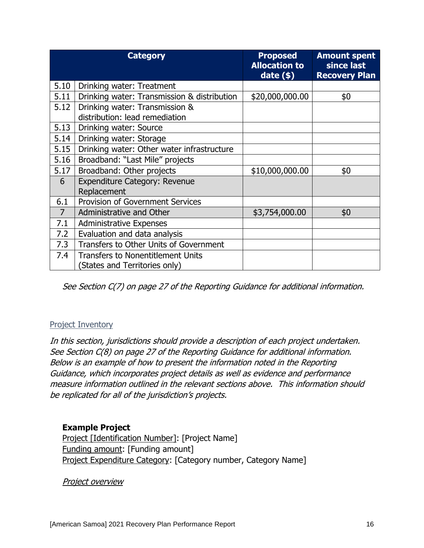|                | <b>Category</b>                                                           | <b>Proposed</b><br><b>Allocation to</b><br>$date($ \$) | <b>Amount spent</b><br>since last<br><b>Recovery Plan</b> |
|----------------|---------------------------------------------------------------------------|--------------------------------------------------------|-----------------------------------------------------------|
| 5.10           | Drinking water: Treatment                                                 |                                                        |                                                           |
| 5.11           | Drinking water: Transmission & distribution                               | \$20,000,000.00                                        | \$0                                                       |
| 5.12           | Drinking water: Transmission &<br>distribution: lead remediation          |                                                        |                                                           |
| 5.13           | Drinking water: Source                                                    |                                                        |                                                           |
| 5.14           | Drinking water: Storage                                                   |                                                        |                                                           |
| 5.15           | Drinking water: Other water infrastructure                                |                                                        |                                                           |
| 5.16           | Broadband: "Last Mile" projects                                           |                                                        |                                                           |
| 5.17           | Broadband: Other projects                                                 | \$10,000,000.00                                        | \$0                                                       |
| 6              | <b>Expenditure Category: Revenue</b><br>Replacement                       |                                                        |                                                           |
| 6.1            | <b>Provision of Government Services</b>                                   |                                                        |                                                           |
| $\overline{7}$ | <b>Administrative and Other</b>                                           | \$3,754,000.00                                         | \$0                                                       |
| 7.1            | <b>Administrative Expenses</b>                                            |                                                        |                                                           |
| 7.2            | Evaluation and data analysis                                              |                                                        |                                                           |
| 7.3            | Transfers to Other Units of Government                                    |                                                        |                                                           |
| 7.4            | <b>Transfers to Nonentitlement Units</b><br>(States and Territories only) |                                                        |                                                           |

See Section C(7) on page 27 of the Reporting Guidance for additional information.

### Project Inventory

In this section, jurisdictions should provide a description of each project undertaken. See Section C(8) on page 27 of the Reporting Guidance for additional information. Below is an example of how to present the information noted in the Reporting Guidance, which incorporates project details as well as evidence and performance measure information outlined in the relevant sections above. This information should be replicated for all of the jurisdiction's projects.

#### **Example Project**

Project [Identification Number]: [Project Name] Funding amount: [Funding amount] Project Expenditure Category: [Category number, Category Name]

Project overview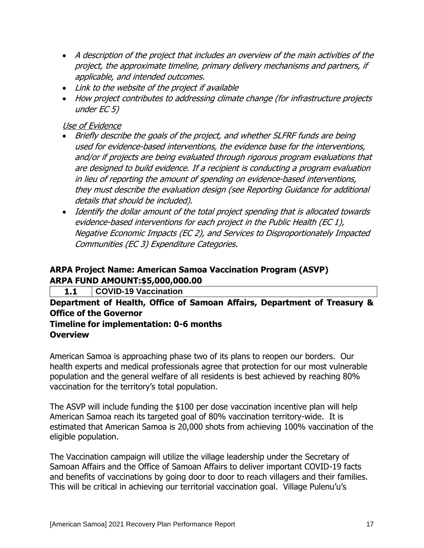- A description of the project that includes an overview of the main activities of the project, the approximate timeline, primary delivery mechanisms and partners, if applicable, and intended outcomes.
- Link to the website of the project if available
- How project contributes to addressing climate change (for infrastructure projects under EC 5)

## Use of Evidence

- Briefly describe the goals of the project, and whether SLFRF funds are being used for evidence-based interventions, the evidence base for the interventions, and/or if projects are being evaluated through rigorous program evaluations that are designed to build evidence. If a recipient is conducting a program evaluation in lieu of reporting the amount of spending on evidence-based interventions, they must describe the evaluation design (see Reporting Guidance for additional details that should be included).
- Identify the dollar amount of the total project spending that is allocated towards evidence-based interventions for each project in the Public Health (EC 1), Negative Economic Impacts (EC 2), and Services to Disproportionately Impacted Communities (EC 3) Expenditure Categories.

## **ARPA Project Name: American Samoa Vaccination Program (ASVP) ARPA FUND AMOUNT:\$5,000,000.00**

**1.1 COVID-19 Vaccination**

**Department of Health, Office of Samoan Affairs, Department of Treasury & Office of the Governor**

## **Timeline for implementation: 0-6 months Overview**

American Samoa is approaching phase two of its plans to reopen our borders. Our health experts and medical professionals agree that protection for our most vulnerable population and the general welfare of all residents is best achieved by reaching 80% vaccination for the territory's total population.

The ASVP will include funding the \$100 per dose vaccination incentive plan will help American Samoa reach its targeted goal of 80% vaccination territory-wide. It is estimated that American Samoa is 20,000 shots from achieving 100% vaccination of the eligible population.

The Vaccination campaign will utilize the village leadership under the Secretary of Samoan Affairs and the Office of Samoan Affairs to deliver important COVID-19 facts and benefits of vaccinations by going door to door to reach villagers and their families. This will be critical in achieving our territorial vaccination goal. Village Pulenu'u's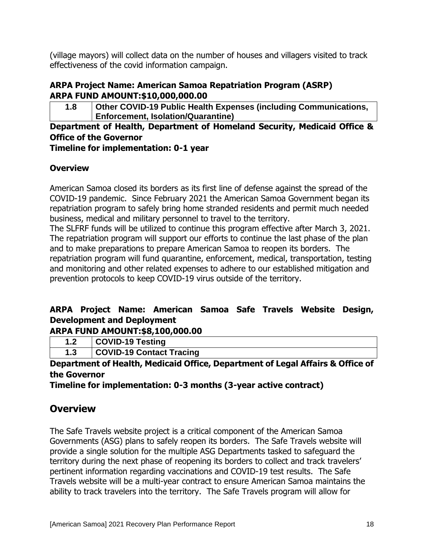(village mayors) will collect data on the number of houses and villagers visited to track effectiveness of the covid information campaign.

## **ARPA Project Name: American Samoa Repatriation Program (ASRP) ARPA FUND AMOUNT:\$10,000,000.00**

**1.8 Other COVID-19 Public Health Expenses (including Communications, Enforcement, Isolation/Quarantine)**

## **Department of Health, Department of Homeland Security, Medicaid Office & Office of the Governor**

**Timeline for implementation: 0-1 year**

## **Overview**

American Samoa closed its borders as its first line of defense against the spread of the COVID-19 pandemic. Since February 2021 the American Samoa Government began its repatriation program to safely bring home stranded residents and permit much needed business, medical and military personnel to travel to the territory.

The SLFRF funds will be utilized to continue this program effective after March 3, 2021. The repatriation program will support our efforts to continue the last phase of the plan and to make preparations to prepare American Samoa to reopen its borders. The repatriation program will fund quarantine, enforcement, medical, transportation, testing and monitoring and other related expenses to adhere to our established mitigation and prevention protocols to keep COVID-19 virus outside of the territory.

# **ARPA Project Name: American Samoa Safe Travels Website Design, Development and Deployment**

**ARPA FUND AMOUNT:\$8,100,000.00**

| VID-19 Test<br>∵na |
|--------------------|
|                    |

**1.3 COVID-19 Contact Tracing**

**Department of Health, Medicaid Office, Department of Legal Affairs & Office of the Governor**

**Timeline for implementation: 0-3 months (3-year active contract)** 

# **Overview**

The Safe Travels website project is a critical component of the American Samoa Governments (ASG) plans to safely reopen its borders. The Safe Travels website will provide a single solution for the multiple ASG Departments tasked to safeguard the territory during the next phase of reopening its borders to collect and track travelers' pertinent information regarding vaccinations and COVID-19 test results. The Safe Travels website will be a multi-year contract to ensure American Samoa maintains the ability to track travelers into the territory. The Safe Travels program will allow for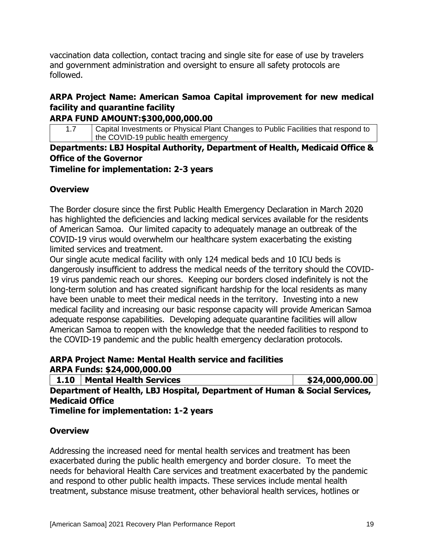vaccination data collection, contact tracing and single site for ease of use by travelers and government administration and oversight to ensure all safety protocols are followed.

# **ARPA Project Name: American Samoa Capital improvement for new medical facility and quarantine facility**

## **ARPA FUND AMOUNT:\$300,000,000.00**

1.7 Capital Investments or Physical Plant Changes to Public Facilities that respond to the COVID-19 public health emergency

# **Departments: LBJ Hospital Authority, Department of Health, Medicaid Office & Office of the Governor**

**Timeline for implementation: 2-3 years**

## **Overview**

The Border closure since the first Public Health Emergency Declaration in March 2020 has highlighted the deficiencies and lacking medical services available for the residents of American Samoa. Our limited capacity to adequately manage an outbreak of the COVID-19 virus would overwhelm our healthcare system exacerbating the existing limited services and treatment.

Our single acute medical facility with only 124 medical beds and 10 ICU beds is dangerously insufficient to address the medical needs of the territory should the COVID-19 virus pandemic reach our shores. Keeping our borders closed indefinitely is not the long-term solution and has created significant hardship for the local residents as many have been unable to meet their medical needs in the territory. Investing into a new medical facility and increasing our basic response capacity will provide American Samoa adequate response capabilities. Developing adequate quarantine facilities will allow American Samoa to reopen with the knowledge that the needed facilities to respond to the COVID-19 pandemic and the public health emergency declaration protocols.

## **ARPA Project Name: Mental Health service and facilities ARPA Funds: \$24,000,000.00**

|                                                                            | 1.10   Mental Health Services | \$24,000,000.00 |  |
|----------------------------------------------------------------------------|-------------------------------|-----------------|--|
| Department of Health, LBJ Hospital, Department of Human & Social Services, |                               |                 |  |
| <b>Medicaid Office</b>                                                     |                               |                 |  |

**Timeline for implementation: 1-2 years**

## **Overview**

Addressing the increased need for mental health services and treatment has been exacerbated during the public health emergency and border closure. To meet the needs for behavioral Health Care services and treatment exacerbated by the pandemic and respond to other public health impacts. These services include mental health treatment, substance misuse treatment, other behavioral health services, hotlines or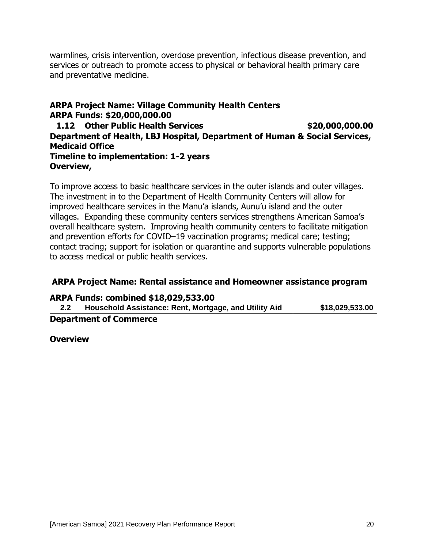warmlines, crisis intervention, overdose prevention, infectious disease prevention, and services or outreach to promote access to physical or behavioral health primary care and preventative medicine.

## **ARPA Project Name: Village Community Health Centers ARPA Funds: \$20,000,000.00**

**1.12 Other Public Health Services \$20,000,000.00 Department of Health, LBJ Hospital, Department of Human & Social Services, Medicaid Office Timeline to implementation: 1-2 years Overview,**

To improve access to basic healthcare services in the outer islands and outer villages. The investment in to the Department of Health Community Centers will allow for improved healthcare services in the Manu'a islands, Aunu'u island and the outer villages. Expanding these community centers services strengthens American Samoa's overall healthcare system. Improving health community centers to facilitate mitigation and prevention efforts for COVID–19 vaccination programs; medical care; testing; contact tracing; support for isolation or quarantine and supports vulnerable populations to access medical or public health services.

### **ARPA Project Name: Rental assistance and Homeowner assistance program**

#### **ARPA Funds: combined \$18,029,533.00**

| 2.2 | Household Assistance: Rent, Mortgage, and Utility Aid | \$18,029,533.00 |
|-----|-------------------------------------------------------|-----------------|
|     | <b>Department of Commerce</b>                         |                 |

**Overview**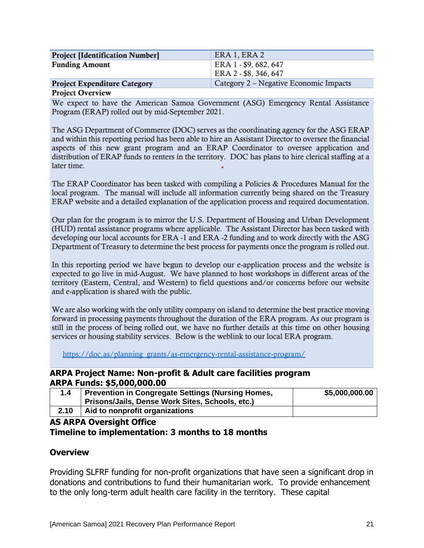| <b>Project [Identification Number]</b> | ERA 1, ERA 2                           |
|----------------------------------------|----------------------------------------|
| <b>Funding Amount</b>                  | ERA 1 - \$9, 682, 647                  |
|                                        | ERA 2 - \$8, 346, 647                  |
| <b>Project Expenditure Category</b>    | Category 2 – Negative Economic Impacts |
|                                        |                                        |

#### **Project Overview**

We expect to have the American Samoa Government (ASG) Emergency Rental Assistance Program (ERAP) rolled out by mid-September 2021.

The ASG Department of Commerce (DOC) serves as the coordinating agency for the ASG ERAP and within this reporting period has been able to hire an Assistant Director to oversee the financial aspects of this new grant program and an ERAP Coordinator to oversee application and distribution of ERAP funds to renters in the territory. DOC has plans to hire clerical staffing at a later time.

The ERAP Coordinator has been tasked with compiling a Policies & Procedures Manual for the local program. The manual will include all information currently being shared on the Treasury ERAP website and a detailed explanation of the application process and required documentation.

Our plan for the program is to mirror the U.S. Department of Housing and Urban Development (HUD) rental assistance programs where applicable. The Assistant Director has been tasked with developing our local accounts for ERA -1 and ERA -2 funding and to work directly with the ASG Department of Treasury to determine the best process for payments once the program is rolled out.

In this reporting period we have begun to develop our e-application process and the website is expected to go live in mid-August. We have planned to host workshops in different areas of the territory (Eastern, Central, and Western) to field questions and/or concerns before our website and e-application is shared with the public.

We are also working with the only utility company on island to determine the best practice moving forward in processing payments throughout the duration of the ERA program. As our program is still in the process of being rolled out, we have no further details at this time on other housing services or housing stability services. Below is the weblink to our local ERA program.

https://doc.as/planning\_grants/as-emergency-rental-assistance-program/

#### **ARPA Project Name: Non-profit & Adult care facilities program ARPA Funds: \$5,000,000.00**

| 1.4  | <b>Prevention in Congregate Settings (Nursing Homes,</b><br>Prisons/Jails, Dense Work Sites, Schools, etc.) | \$5,000,000.00 |
|------|-------------------------------------------------------------------------------------------------------------|----------------|
| 2.10 | Aid to nonprofit organizations                                                                              |                |

#### **AS ARPA Oversight Office Timeline to implementation: 3 months to 18 months**

#### **Overview**

Providing SLFRF funding for non-profit organizations that have seen a significant drop in donations and contributions to fund their humanitarian work. To provide enhancement to the only long-term adult health care facility in the territory. These capital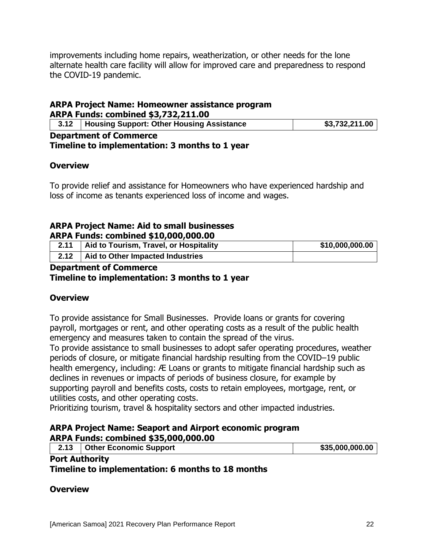improvements including home repairs, weatherization, or other needs for the lone alternate health care facility will allow for improved care and preparedness to respond the COVID-19 pandemic.

#### **ARPA Project Name: Homeowner assistance program ARPA Funds: combined \$3,732,211.00**

|                               | 3.12   Housing Support: Other Housing Assistance | \$3,732,211.00 |
|-------------------------------|--------------------------------------------------|----------------|
| <b>Department of Commerce</b> |                                                  |                |

**Timeline to implementation: 3 months to 1 year**

### **Overview**

To provide relief and assistance for Homeowners who have experienced hardship and loss of income as tenants experienced loss of income and wages.

## **ARPA Project Name: Aid to small businesses ARPA Funds: combined \$10,000,000.00**

| 2.11 | Aid to Tourism, Travel, or Hospitality | \$10,000,000.00 |
|------|----------------------------------------|-----------------|
| 2.12 | Aid to Other Impacted Industries       |                 |

### **Department of Commerce**

### **Timeline to implementation: 3 months to 1 year**

## **Overview**

To provide assistance for Small Businesses. Provide loans or grants for covering payroll, mortgages or rent, and other operating costs as a result of the public health emergency and measures taken to contain the spread of the virus.

To provide assistance to small businesses to adopt safer operating procedures, weather periods of closure, or mitigate financial hardship resulting from the COVID–19 public health emergency, including: Æ Loans or grants to mitigate financial hardship such as declines in revenues or impacts of periods of business closure, for example by supporting payroll and benefits costs, costs to retain employees, mortgage, rent, or utilities costs, and other operating costs.

Prioritizing tourism, travel & hospitality sectors and other impacted industries.

#### **ARPA Project Name: Seaport and Airport economic program ARPA Funds: combined \$35,000,000.00**

| <b>Other Economic Support</b><br>2.13 |  | \$35,000,000.00 |  |  |
|---------------------------------------|--|-----------------|--|--|
| <b>Port Authority</b>                 |  |                 |  |  |

**Timeline to implementation: 6 months to 18 months**

#### **Overview**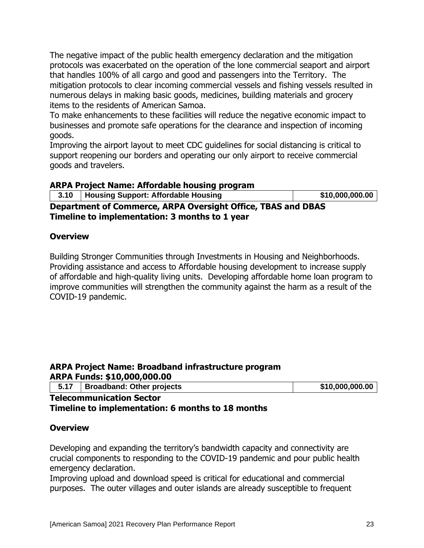The negative impact of the public health emergency declaration and the mitigation protocols was exacerbated on the operation of the lone commercial seaport and airport that handles 100% of all cargo and good and passengers into the Territory. The mitigation protocols to clear incoming commercial vessels and fishing vessels resulted in numerous delays in making basic goods, medicines, building materials and grocery items to the residents of American Samoa.

To make enhancements to these facilities will reduce the negative economic impact to businesses and promote safe operations for the clearance and inspection of incoming goods.

Improving the airport layout to meet CDC guidelines for social distancing is critical to support reopening our borders and operating our only airport to receive commercial goods and travelers.

#### **ARPA Project Name: Affordable housing program**

| 3.10   Housing Support: Affordable Housing | \$10,000,000.00 |
|--------------------------------------------|-----------------|

**Department of Commerce, ARPA Oversight Office, TBAS and DBAS Timeline to implementation: 3 months to 1 year**

#### **Overview**

Building Stronger Communities through Investments in Housing and Neighborhoods. Providing assistance and access to Affordable housing development to increase supply of affordable and high-quality living units. Developing affordable home loan program to improve communities will strengthen the community against the harm as a result of the COVID-19 pandemic.

## **ARPA Project Name: Broadband infrastructure program ARPA Funds: \$10,000,000.00**

| 5.17   Broadband: Other projects | \$10,000,000.00 |
|----------------------------------|-----------------|
|                                  |                 |

#### **Telecommunication Sector Timeline to implementation: 6 months to 18 months**

#### **Overview**

Developing and expanding the territory's bandwidth capacity and connectivity are crucial components to responding to the COVID-19 pandemic and pour public health emergency declaration.

Improving upload and download speed is critical for educational and commercial purposes. The outer villages and outer islands are already susceptible to frequent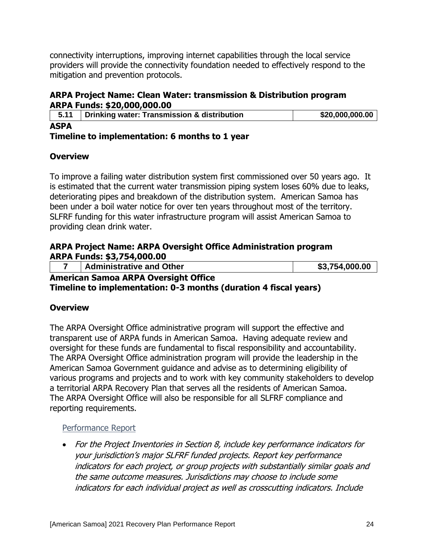connectivity interruptions, improving internet capabilities through the local service providers will provide the connectivity foundation needed to effectively respond to the mitigation and prevention protocols.

## **ARPA Project Name: Clean Water: transmission & Distribution program ARPA Funds: \$20,000,000.00**

| 5.11        | Drinking water: Transmission & distribution |  | \$20,000,000.00 |
|-------------|---------------------------------------------|--|-----------------|
| <b>ASPA</b> |                                             |  |                 |

### **Timeline to implementation: 6 months to 1 year**

## **Overview**

To improve a failing water distribution system first commissioned over 50 years ago. It is estimated that the current water transmission piping system loses 60% due to leaks, deteriorating pipes and breakdown of the distribution system. American Samoa has been under a boil water notice for over ten years throughout most of the territory. SLFRF funding for this water infrastructure program will assist American Samoa to providing clean drink water.

#### **ARPA Project Name: ARPA Oversight Office Administration program ARPA Funds: \$3,754,000.00**

|                                             | <b>Administrative and Other</b> | \$3,754,000.00 |
|---------------------------------------------|---------------------------------|----------------|
| <b>American Samoa ARPA Oversight Office</b> |                                 |                |

**Timeline to implementation: 0-3 months (duration 4 fiscal years)**

## **Overview**

The ARPA Oversight Office administrative program will support the effective and transparent use of ARPA funds in American Samoa. Having adequate review and oversight for these funds are fundamental to fiscal responsibility and accountability. The ARPA Oversight Office administration program will provide the leadership in the American Samoa Government guidance and advise as to determining eligibility of various programs and projects and to work with key community stakeholders to develop a territorial ARPA Recovery Plan that serves all the residents of American Samoa. The ARPA Oversight Office will also be responsible for all SLFRF compliance and reporting requirements.

### Performance Report

• For the Project Inventories in Section 8, include key performance indicators for your jurisdiction's major SLFRF funded projects. Report key performance indicators for each project, or group projects with substantially similar goals and the same outcome measures. Jurisdictions may choose to include some indicators for each individual project as well as crosscutting indicators. Include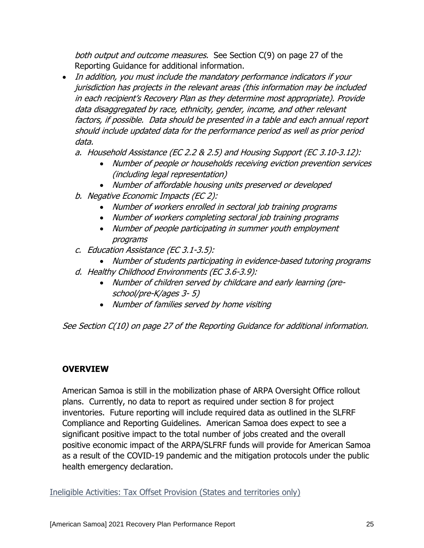both output and outcome measures. See Section C(9) on page 27 of the Reporting Guidance for additional information.

- In addition, you must include the mandatory performance indicators if your jurisdiction has projects in the relevant areas (this information may be included in each recipient's Recovery Plan as they determine most appropriate). Provide data disaggregated by race, ethnicity, gender, income, and other relevant factors, if possible. Data should be presented in a table and each annual report should include updated data for the performance period as well as prior period data.
	- a. Household Assistance (EC 2.2 & 2.5) and Housing Support (EC 3.10-3.12):
		- Number of people or households receiving eviction prevention services (including legal representation)
		- Number of affordable housing units preserved or developed
	- b. Negative Economic Impacts (EC 2):
		- Number of workers enrolled in sectoral job training programs
		- Number of workers completing sectoral job training programs
		- Number of people participating in summer youth employment programs
	- c. Education Assistance (EC 3.1-3.5):
	- Number of students participating in evidence-based tutoring programs
	- d. Healthy Childhood Environments (EC 3.6-3.9):
		- Number of children served by childcare and early learning (preschool/pre-K/ages 3- 5)
		- Number of families served by home visiting

See Section C(10) on page 27 of the Reporting Guidance for additional information.

## **OVERVIEW**

American Samoa is still in the mobilization phase of ARPA Oversight Office rollout plans. Currently, no data to report as required under section 8 for project inventories. Future reporting will include required data as outlined in the SLFRF Compliance and Reporting Guidelines. American Samoa does expect to see a significant positive impact to the total number of jobs created and the overall positive economic impact of the ARPA/SLFRF funds will provide for American Samoa as a result of the COVID-19 pandemic and the mitigation protocols under the public health emergency declaration.

Ineligible Activities: Tax Offset Provision (States and territories only)